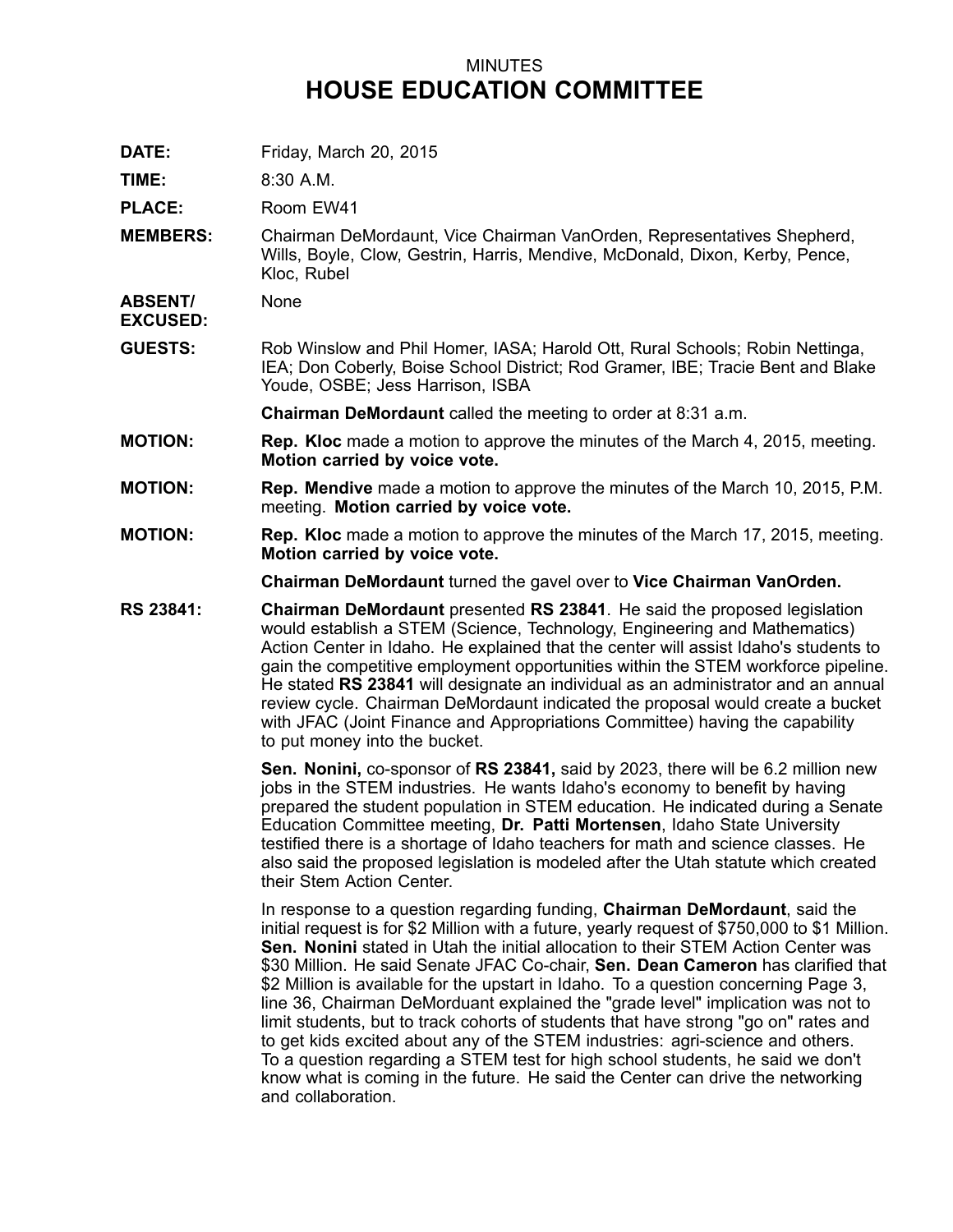## MINUTES **HOUSE EDUCATION COMMITTEE**

**DATE:** Friday, March 20, 2015

**TIME:** 8:30 A.M.

PLACE: Room EW41

**MEMBERS:** Chairman DeMordaunt, Vice Chairman VanOrden, Representatives Shepherd, Wills, Boyle, Clow, Gestrin, Harris, Mendive, McDonald, Dixon, Kerby, Pence, Kloc, Rubel

**ABSENT/ EXCUSED:** None

**GUESTS:** Rob Winslow and Phil Homer, IASA; Harold Ott, Rural Schools; Robin Nettinga, IEA; Don Coberly, Boise School District; Rod Gramer, IBE; Tracie Bent and Blake Youde, OSBE; Jess Harrison, ISBA

**Chairman DeMordaunt** called the meeting to order at 8:31 a.m.

- **MOTION: Rep. Kloc** made <sup>a</sup> motion to approve the minutes of the March 4, 2015, meeting. **Motion carried by voice vote.**
- **MOTION: Rep. Mendive** made <sup>a</sup> motion to approve the minutes of the March 10, 2015, P.M. meeting. **Motion carried by voice vote.**
- **MOTION: Rep. Kloc** made <sup>a</sup> motion to approve the minutes of the March 17, 2015, meeting. **Motion carried by voice vote.**

**Chairman DeMordaunt** turned the gavel over to **Vice Chairman VanOrden.**

**RS 23841: Chairman DeMordaunt** presented **RS 23841**. He said the proposed legislation would establish <sup>a</sup> STEM (Science, Technology, Engineering and Mathematics) Action Center in Idaho. He explained that the center will assist Idaho's students to gain the competitive employment opportunities within the STEM workforce pipeline. He stated **RS 23841** will designate an individual as an administrator and an annual review cycle. Chairman DeMordaunt indicated the proposal would create <sup>a</sup> bucket with JFAC (Joint Finance and Appropriations Committee) having the capability to put money into the bucket.

> **Sen. Nonini,** co-sponsor of **RS 23841,** said by 2023, there will be 6.2 million new jobs in the STEM industries. He wants Idaho's economy to benefit by having prepared the student population in STEM education. He indicated during <sup>a</sup> Senate Education Committee meeting, **Dr. Patti Mortensen**, Idaho State University testified there is <sup>a</sup> shortage of Idaho teachers for math and science classes. He also said the proposed legislation is modeled after the Utah statute which created their Stem Action Center.

In response to <sup>a</sup> question regarding funding, **Chairman DeMordaunt**, said the initial request is for \$2 Million with <sup>a</sup> future, yearly request of \$750,000 to \$1 Million. **Sen. Nonini** stated in Utah the initial allocation to their STEM Action Center was \$30 Million. He said Senate JFAC Co-chair, **Sen. Dean Cameron** has clarified that \$2 Million is available for the upstart in Idaho. To <sup>a</sup> question concerning Page 3, line 36, Chairman DeMorduant explained the "grade level" implication was not to limit students, but to track cohorts of students that have strong "go on" rates and to get kids excited about any of the STEM industries: agri-science and others. To <sup>a</sup> question regarding <sup>a</sup> STEM test for high school students, he said we don't know what is coming in the future. He said the Center can drive the networking and collaboration.